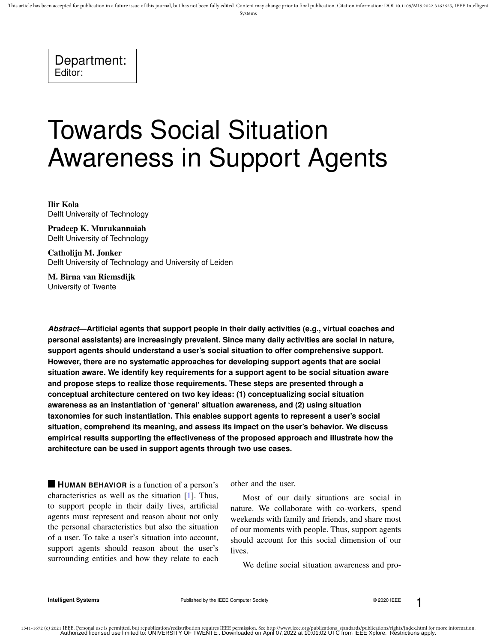This article has been accepted for publication in a future issue of this journal, but has not been fully edited. Content may change prior to final publication. Citation information: DOI 10.1109/MIS.2022.3163625, IEEE Intel

Systems

Department: Editor:

# Towards Social Situation Awareness in Support Agents

Ilir Kola Delft University of Technology

Pradeep K. Murukannaiah Delft University of Technology

Catholijn M. Jonker Delft University of Technology and University of Leiden

M. Birna van Riemsdijk University of Twente

*Abstract***—Artificial agents that support people in their daily activities (e.g., virtual coaches and personal assistants) are increasingly prevalent. Since many daily activities are social in nature, support agents should understand a user's social situation to offer comprehensive support. However, there are no systematic approaches for developing support agents that are social situation aware. We identify key requirements for a support agent to be social situation aware and propose steps to realize those requirements. These steps are presented through a conceptual architecture centered on two key ideas: (1) conceptualizing social situation awareness as an instantiation of 'general' situation awareness, and (2) using situation taxonomies for such instantiation. This enables support agents to represent a user's social situation, comprehend its meaning, and assess its impact on the user's behavior. We discuss empirical results supporting the effectiveness of the proposed approach and illustrate how the architecture can be used in support agents through two use cases.**

**HUMAN BEHAVIOR** is a function of a person's characteristics as well as the situation [1]. Thus, to support people in their daily lives, artificial agents must represent and reason about not only the personal characteristics but also the situation of a user. To take a user's situation into account, support agents should reason about the user's surrounding entities and how they relate to each other and the user.

Most of our daily situations are social in nature. We collaborate with co-workers, spend weekends with family and friends, and share most of our moments with people. Thus, support agents should account for this social dimension of our **lives** 

We define social situation awareness and pro-

**Intelligent Systems Published by the IEEE Computer Society COMPUTER PHOTOM COMPUTER P**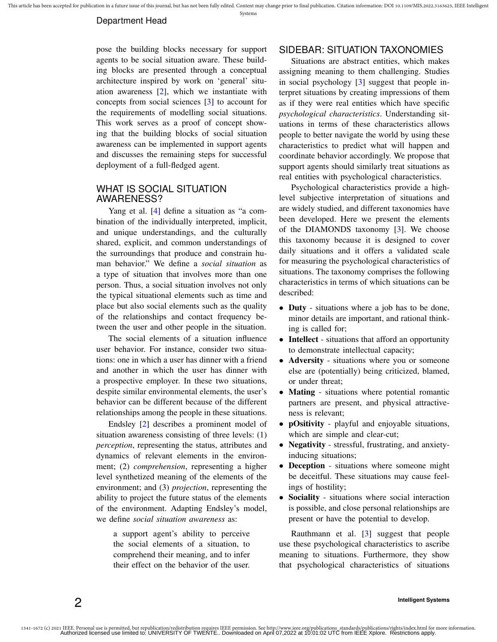#### Department Head

pose the building blocks necessary for support agents to be social situation aware. These building blocks are presented through a conceptual architecture inspired by work on 'general' situation awareness [2], which we instantiate with concepts from social sciences [3] to account for the requirements of modelling social situations. This work serves as a proof of concept showing that the building blocks of social situation awareness can be implemented in support agents and discusses the remaining steps for successful deployment of a full-fledged agent.

## WHAT IS SOCIAL SITUATION AWARENESS?

Yang et al. [4] define a situation as "a combination of the individually interpreted, implicit, and unique understandings, and the culturally shared, explicit, and common understandings of the surroundings that produce and constrain human behavior." We define a *social situation* as a type of situation that involves more than one person. Thus, a social situation involves not only the typical situational elements such as time and place but also social elements such as the quality of the relationships and contact frequency between the user and other people in the situation.

The social elements of a situation influence user behavior. For instance, consider two situations: one in which a user has dinner with a friend and another in which the user has dinner with a prospective employer. In these two situations, despite similar environmental elements, the user's behavior can be different because of the different relationships among the people in these situations.

Endsley [2] describes a prominent model of situation awareness consisting of three levels: (1) *perception*, representing the status, attributes and dynamics of relevant elements in the environment; (2) *comprehension*, representing a higher level synthetized meaning of the elements of the environment; and (3) *projection*, representing the ability to project the future status of the elements of the environment. Adapting Endsley's model, we define *social situation awareness* as:

a support agent's ability to perceive the social elements of a situation, to comprehend their meaning, and to infer their effect on the behavior of the user.

### SIDEBAR: SITUATION TAXONOMIES

Situations are abstract entities, which makes assigning meaning to them challenging. Studies in social psychology [3] suggest that people interpret situations by creating impressions of them as if they were real entities which have specific *psychological characteristics*. Understanding situations in terms of these characteristics allows people to better navigate the world by using these characteristics to predict what will happen and coordinate behavior accordingly. We propose that support agents should similarly treat situations as real entities with psychological characteristics.

Psychological characteristics provide a highlevel subjective interpretation of situations and are widely studied, and different taxonomies have been developed. Here we present the elements of the DIAMONDS taxonomy [3]. We choose this taxonomy because it is designed to cover daily situations and it offers a validated scale for measuring the psychological characteristics of situations. The taxonomy comprises the following characteristics in terms of which situations can be described:

- Duty situations where a job has to be done, minor details are important, and rational thinking is called for;
- Intellect situations that afford an opportunity to demonstrate intellectual capacity;
- Adversity situations where you or someone else are (potentially) being criticized, blamed, or under threat;
- Mating situations where potential romantic partners are present, and physical attractiveness is relevant;
- pOsitivity playful and enjoyable situations, which are simple and clear-cut;
- Negativity stressful, frustrating, and anxietyinducing situations;
- Deception situations where someone might be deceitful. These situations may cause feelings of hostility;
- Sociality situations where social interaction is possible, and close personal relationships are present or have the potential to develop.

Rauthmann et al. [3] suggest that people use these psychological characteristics to ascribe meaning to situations. Furthermore, they show that psychological characteristics of situations

## 2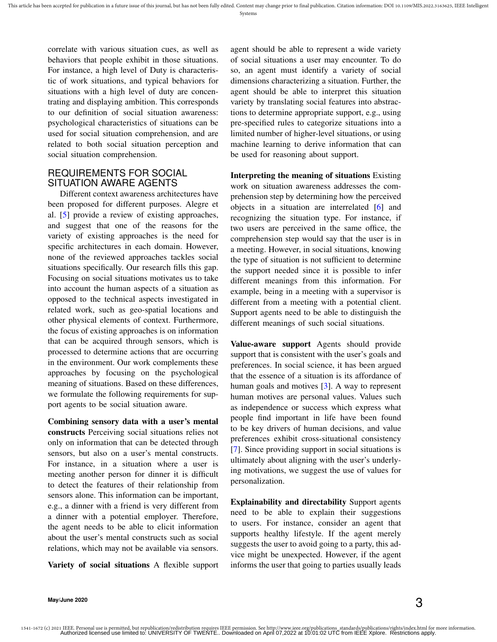Systems

correlate with various situation cues, as well as behaviors that people exhibit in those situations. For instance, a high level of Duty is characteristic of work situations, and typical behaviors for situations with a high level of duty are concentrating and displaying ambition. This corresponds to our definition of social situation awareness: psychological characteristics of situations can be used for social situation comprehension, and are related to both social situation perception and social situation comprehension.

## REQUIREMENTS FOR SOCIAL SITUATION AWARE AGENTS

Different context awareness architectures have been proposed for different purposes. Alegre et al. [5] provide a review of existing approaches, and suggest that one of the reasons for the variety of existing approaches is the need for specific architectures in each domain. However, none of the reviewed approaches tackles social situations specifically. Our research fills this gap. Focusing on social situations motivates us to take into account the human aspects of a situation as opposed to the technical aspects investigated in related work, such as geo-spatial locations and other physical elements of context. Furthermore, the focus of existing approaches is on information that can be acquired through sensors, which is processed to determine actions that are occurring in the environment. Our work complements these approaches by focusing on the psychological meaning of situations. Based on these differences, we formulate the following requirements for support agents to be social situation aware.

Combining sensory data with a user's mental constructs Perceiving social situations relies not only on information that can be detected through sensors, but also on a user's mental constructs. For instance, in a situation where a user is meeting another person for dinner it is difficult to detect the features of their relationship from sensors alone. This information can be important, e.g., a dinner with a friend is very different from a dinner with a potential employer. Therefore, the agent needs to be able to elicit information about the user's mental constructs such as social relations, which may not be available via sensors.

Variety of social situations A flexible support

agent should be able to represent a wide variety of social situations a user may encounter. To do so, an agent must identify a variety of social dimensions characterizing a situation. Further, the agent should be able to interpret this situation variety by translating social features into abstractions to determine appropriate support, e.g., using pre-specified rules to categorize situations into a limited number of higher-level situations, or using machine learning to derive information that can be used for reasoning about support.

Interpreting the meaning of situations Existing work on situation awareness addresses the comprehension step by determining how the perceived objects in a situation are interrelated [6] and recognizing the situation type. For instance, if two users are perceived in the same office, the comprehension step would say that the user is in a meeting. However, in social situations, knowing the type of situation is not sufficient to determine the support needed since it is possible to infer different meanings from this information. For example, being in a meeting with a supervisor is different from a meeting with a potential client. Support agents need to be able to distinguish the different meanings of such social situations.

Value-aware support Agents should provide support that is consistent with the user's goals and preferences. In social science, it has been argued that the essence of a situation is its affordance of human goals and motives [3]. A way to represent human motives are personal values. Values such as independence or success which express what people find important in life have been found to be key drivers of human decisions, and value preferences exhibit cross-situational consistency [7]. Since providing support in social situations is ultimately about aligning with the user's underlying motivations, we suggest the use of values for personalization.

Explainability and directability Support agents need to be able to explain their suggestions to users. For instance, consider an agent that supports healthy lifestyle. If the agent merely suggests the user to avoid going to a party, this advice might be unexpected. However, if the agent informs the user that going to parties usually leads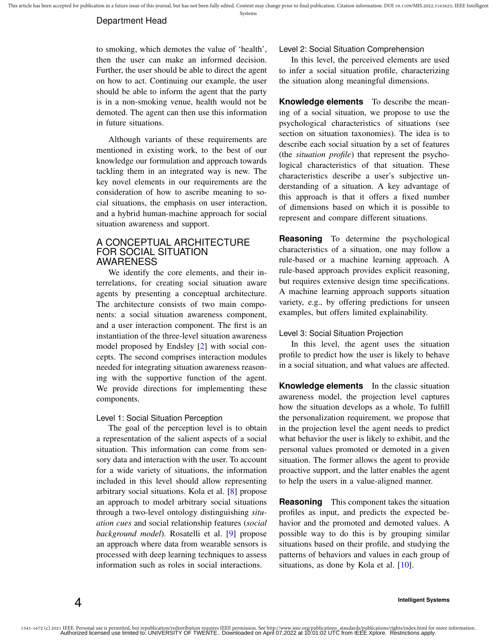#### Department Head

to smoking, which demotes the value of 'health', then the user can make an informed decision. Further, the user should be able to direct the agent on how to act. Continuing our example, the user should be able to inform the agent that the party is in a non-smoking venue, health would not be demoted. The agent can then use this information in future situations.

Although variants of these requirements are mentioned in existing work, to the best of our knowledge our formulation and approach towards tackling them in an integrated way is new. The key novel elements in our requirements are the consideration of how to ascribe meaning to social situations, the emphasis on user interaction, and a hybrid human-machine approach for social situation awareness and support.

#### A CONCEPTUAL ARCHITECTURE FOR SOCIAL SITUATION AWARENESS

We identify the core elements, and their interrelations, for creating social situation aware agents by presenting a conceptual architecture. The architecture consists of two main components: a social situation awareness component, and a user interaction component. The first is an instantiation of the three-level situation awareness model proposed by Endsley [2] with social concepts. The second comprises interaction modules needed for integrating situation awareness reasoning with the supportive function of the agent. We provide directions for implementing these components.

#### Level 1: Social Situation Perception

The goal of the perception level is to obtain a representation of the salient aspects of a social situation. This information can come from sensory data and interaction with the user. To account for a wide variety of situations, the information included in this level should allow representing arbitrary social situations. Kola et al. [8] propose an approach to model arbitrary social situations through a two-level ontology distinguishing *situation cues* and social relationship features (*social background model*). Rosatelli et al. [9] propose an approach where data from wearable sensors is processed with deep learning techniques to assess information such as roles in social interactions.

#### Level 2: Social Situation Comprehension

In this level, the perceived elements are used to infer a social situation profile, characterizing the situation along meaningful dimensions.

**Knowledge elements** To describe the meaning of a social situation, we propose to use the psychological characteristics of situations (see section on situation taxonomies). The idea is to describe each social situation by a set of features (the *situation profile*) that represent the psychological characteristics of that situation. These characteristics describe a user's subjective understanding of a situation. A key advantage of this approach is that it offers a fixed number of dimensions based on which it is possible to represent and compare different situations.

**Reasoning** To determine the psychological characteristics of a situation, one may follow a rule-based or a machine learning approach. A rule-based approach provides explicit reasoning, but requires extensive design time specifications. A machine learning approach supports situation variety, e.g., by offering predictions for unseen examples, but offers limited explainability.

#### Level 3: Social Situation Projection

In this level, the agent uses the situation profile to predict how the user is likely to behave in a social situation, and what values are affected.

**Knowledge elements** In the classic situation awareness model, the projection level captures how the situation develops as a whole. To fulfill the personalization requirement, we propose that in the projection level the agent needs to predict what behavior the user is likely to exhibit, and the personal values promoted or demoted in a given situation. The former allows the agent to provide proactive support, and the latter enables the agent to help the users in a value-aligned manner.

**Reasoning** This component takes the situation profiles as input, and predicts the expected behavior and the promoted and demoted values. A possible way to do this is by grouping similar situations based on their profile, and studying the patterns of behaviors and values in each group of situations, as done by Kola et al. [10].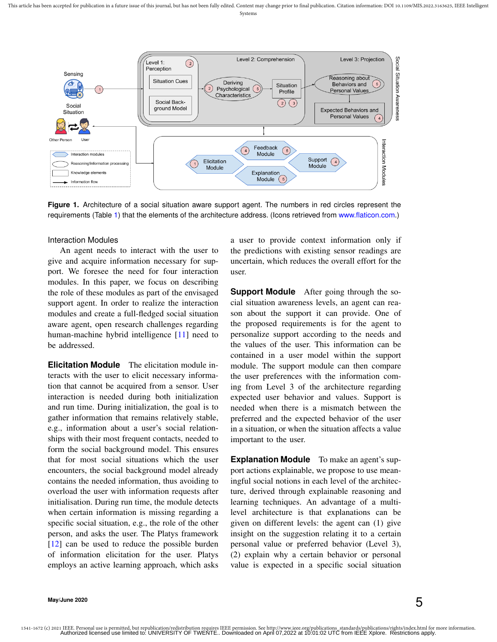

Figure 1. Architecture of a social situation aware support agent. The numbers in red circles represent the requirements (Table 1) that the elements of the architecture address. (Icons retrieved from [www.flaticon.com.](www.flaticon.com))

#### Interaction Modules

An agent needs to interact with the user to give and acquire information necessary for support. We foresee the need for four interaction modules. In this paper, we focus on describing the role of these modules as part of the envisaged support agent. In order to realize the interaction modules and create a full-fledged social situation aware agent, open research challenges regarding human-machine hybrid intelligence [11] need to be addressed.

**Elicitation Module** The elicitation module interacts with the user to elicit necessary information that cannot be acquired from a sensor. User interaction is needed during both initialization and run time. During initialization, the goal is to gather information that remains relatively stable, e.g., information about a user's social relationships with their most frequent contacts, needed to form the social background model. This ensures that for most social situations which the user encounters, the social background model already contains the needed information, thus avoiding to overload the user with information requests after initialisation. During run time, the module detects when certain information is missing regarding a specific social situation, e.g., the role of the other person, and asks the user. The Platys framework [12] can be used to reduce the possible burden of information elicitation for the user. Platys employs an active learning approach, which asks a user to provide context information only if the predictions with existing sensor readings are uncertain, which reduces the overall effort for the user.

**Support Module** After going through the social situation awareness levels, an agent can reason about the support it can provide. One of the proposed requirements is for the agent to personalize support according to the needs and the values of the user. This information can be contained in a user model within the support module. The support module can then compare the user preferences with the information coming from Level 3 of the architecture regarding expected user behavior and values. Support is needed when there is a mismatch between the preferred and the expected behavior of the user in a situation, or when the situation affects a value important to the user.

**Explanation Module** To make an agent's support actions explainable, we propose to use meaningful social notions in each level of the architecture, derived through explainable reasoning and learning techniques. An advantage of a multilevel architecture is that explanations can be given on different levels: the agent can (1) give insight on the suggestion relating it to a certain personal value or preferred behavior (Level 3), (2) explain why a certain behavior or personal value is expected in a specific social situation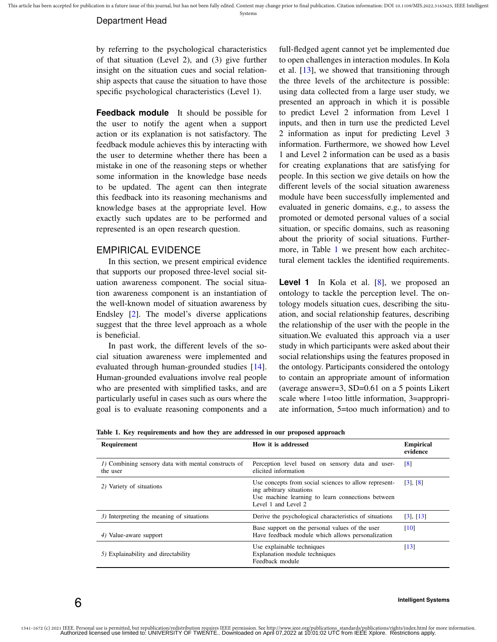#### Department Head

by referring to the psychological characteristics of that situation (Level 2), and (3) give further insight on the situation cues and social relationship aspects that cause the situation to have those specific psychological characteristics (Level 1).

**Feedback module** It should be possible for the user to notify the agent when a support action or its explanation is not satisfactory. The feedback module achieves this by interacting with the user to determine whether there has been a mistake in one of the reasoning steps or whether some information in the knowledge base needs to be updated. The agent can then integrate this feedback into its reasoning mechanisms and knowledge bases at the appropriate level. How exactly such updates are to be performed and represented is an open research question.

## EMPIRICAL EVIDENCE

In this section, we present empirical evidence that supports our proposed three-level social situation awareness component. The social situation awareness component is an instantiation of the well-known model of situation awareness by Endsley [2]. The model's diverse applications suggest that the three level approach as a whole is beneficial.

In past work, the different levels of the social situation awareness were implemented and evaluated through human-grounded studies [14]. Human-grounded evaluations involve real people who are presented with simplified tasks, and are particularly useful in cases such as ours where the goal is to evaluate reasoning components and a full-fledged agent cannot yet be implemented due to open challenges in interaction modules. In Kola et al. [13], we showed that transitioning through the three levels of the architecture is possible: using data collected from a large user study, we presented an approach in which it is possible to predict Level 2 information from Level 1 inputs, and then in turn use the predicted Level 2 information as input for predicting Level 3 information. Furthermore, we showed how Level 1 and Level 2 information can be used as a basis for creating explanations that are satisfying for people. In this section we give details on how the different levels of the social situation awareness module have been successfully implemented and evaluated in generic domains, e.g., to assess the promoted or demoted personal values of a social situation, or specific domains, such as reasoning about the priority of social situations. Furthermore, in Table 1 we present how each architectural element tackles the identified requirements.

Level 1 In Kola et al. [8], we proposed an ontology to tackle the perception level. The ontology models situation cues, describing the situation, and social relationship features, describing the relationship of the user with the people in the situation.We evaluated this approach via a user study in which participants were asked about their social relationships using the features proposed in the ontology. Participants considered the ontology to contain an appropriate amount of information (average answer=3, SD=0.61 on a 5 points Likert scale where 1=too little information, 3=appropriate information, 5=too much information) and to

Table 1. Key requirements and how they are addressed in our proposed approach

| Requirement                                                     | How it is addressed                                                                                                                                           | <b>Empirical</b><br>evidence |
|-----------------------------------------------------------------|---------------------------------------------------------------------------------------------------------------------------------------------------------------|------------------------------|
| 1) Combining sensory data with mental constructs of<br>the user | Perception level based on sensory data and user-<br>elicited information                                                                                      | $\lceil 8 \rceil$            |
| 2) Variety of situations                                        | Use concepts from social sciences to allow represent-<br>ing arbitrary situations<br>Use machine learning to learn connections between<br>Level 1 and Level 2 | $[3]$ , $[8]$                |
| 3) Interpreting the meaning of situations                       | Derive the psychological characteristics of situations                                                                                                        | $[3]$ , $[13]$               |
| 4) Value-aware support                                          | Base support on the personal values of the user<br>Have feedback module which allows personalization                                                          | $\lceil 10 \rceil$           |
| 5) Explainability and directability                             | Use explainable techniques<br>Explanation module techniques<br>Feedback module                                                                                | $\lceil 13 \rceil$           |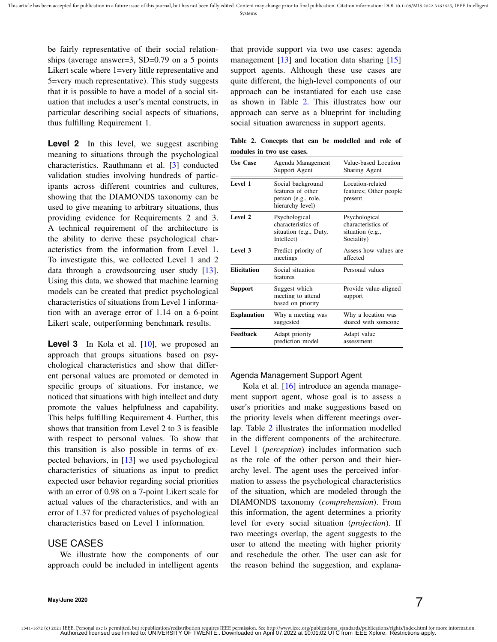be fairly representative of their social relationships (average answer=3, SD=0.79 on a 5 points Likert scale where 1=very little representative and 5=very much representative). This study suggests that it is possible to have a model of a social situation that includes a user's mental constructs, in particular describing social aspects of situations, thus fulfilling Requirement 1.

Level 2 In this level, we suggest ascribing meaning to situations through the psychological characteristics. Rauthmann et al. [3] conducted validation studies involving hundreds of participants across different countries and cultures, showing that the DIAMONDS taxonomy can be used to give meaning to arbitrary situations, thus providing evidence for Requirements 2 and 3. A technical requirement of the architecture is the ability to derive these psychological characteristics from the information from Level 1. To investigate this, we collected Level 1 and 2 data through a crowdsourcing user study [13]. Using this data, we showed that machine learning models can be created that predict psychological characteristics of situations from Level 1 information with an average error of 1.14 on a 6-point Likert scale, outperforming benchmark results.

Level 3 In Kola et al. [10], we proposed an approach that groups situations based on psychological characteristics and show that different personal values are promoted or demoted in specific groups of situations. For instance, we noticed that situations with high intellect and duty promote the values helpfulness and capability. This helps fulfilling Requirement 4. Further, this shows that transition from Level 2 to 3 is feasible with respect to personal values. To show that this transition is also possible in terms of expected behaviors, in [13] we used psychological characteristics of situations as input to predict expected user behavior regarding social priorities with an error of 0.98 on a 7-point Likert scale for actual values of the characteristics, and with an error of 1.37 for predicted values of psychological characteristics based on Level 1 information.

## USE CASES

We illustrate how the components of our approach could be included in intelligent agents

that provide support via two use cases: agenda management [13] and location data sharing [15] support agents. Although these use cases are quite different, the high-level components of our approach can be instantiated for each use case as shown in Table 2. This illustrates how our approach can serve as a blueprint for including social situation awareness in support agents.

Table 2. Concepts that can be modelled and role of modules in two use cases.

| <b>Use Case</b>    | Agenda Management<br>Support Agent                                                | Value-based Location<br><b>Sharing Agent</b>                          |
|--------------------|-----------------------------------------------------------------------------------|-----------------------------------------------------------------------|
| Level 1            | Social background<br>features of other<br>person (e.g., role,<br>hierarchy level) | Location-related<br>features; Other people<br>present                 |
| Level 2            | Psychological<br>characteristics of<br>situation (e.g., Duty,<br>Intellect)       | Psychological<br>characteristics of<br>situation (e.g.,<br>Sociality) |
| Level 3            | Predict priority of<br>meetings                                                   | Assess how values are<br>affected                                     |
| <b>Elicitation</b> | Social situation<br>features                                                      | Personal values                                                       |
| Support            | Suggest which<br>meeting to attend<br>based on priority                           | Provide value-aligned<br>support                                      |
| <b>Explanation</b> | Why a meeting was<br>suggested                                                    | Why a location was<br>shared with someone                             |
| Feedback           | Adapt priority<br>prediction model                                                | Adapt value<br>assessment                                             |

#### Agenda Management Support Agent

Kola et al. [16] introduce an agenda management support agent, whose goal is to assess a user's priorities and make suggestions based on the priority levels when different meetings overlap. Table 2 illustrates the information modelled in the different components of the architecture. Level 1 (*perception*) includes information such as the role of the other person and their hierarchy level. The agent uses the perceived information to assess the psychological characteristics of the situation, which are modeled through the DIAMONDS taxonomy (*comprehension*). From this information, the agent determines a priority level for every social situation (*projection*). If two meetings overlap, the agent suggests to the user to attend the meeting with higher priority and reschedule the other. The user can ask for the reason behind the suggestion, and explana-

**May/June 2020**  $\vec{7}$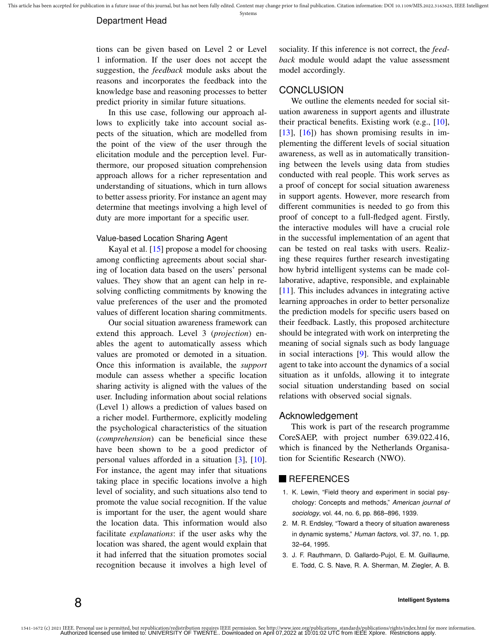tions can be given based on Level 2 or Level 1 information. If the user does not accept the suggestion, the *feedback* module asks about the reasons and incorporates the feedback into the knowledge base and reasoning processes to better predict priority in similar future situations.

In this use case, following our approach allows to explicitly take into account social aspects of the situation, which are modelled from the point of the view of the user through the elicitation module and the perception level. Furthermore, our proposed situation comprehension approach allows for a richer representation and understanding of situations, which in turn allows to better assess priority. For instance an agent may determine that meetings involving a high level of duty are more important for a specific user.

#### Value-based Location Sharing Agent

Kayal et al. [15] propose a model for choosing among conflicting agreements about social sharing of location data based on the users' personal values. They show that an agent can help in resolving conflicting commitments by knowing the value preferences of the user and the promoted values of different location sharing commitments.

Our social situation awareness framework can extend this approach. Level 3 (*projection*) enables the agent to automatically assess which values are promoted or demoted in a situation. Once this information is available, the *support* module can assess whether a specific location sharing activity is aligned with the values of the user. Including information about social relations (Level 1) allows a prediction of values based on a richer model. Furthermore, explicitly modeling the psychological characteristics of the situation (*comprehension*) can be beneficial since these have been shown to be a good predictor of personal values afforded in a situation [3], [10]. For instance, the agent may infer that situations taking place in specific locations involve a high level of sociality, and such situations also tend to promote the value social recognition. If the value is important for the user, the agent would share the location data. This information would also facilitate *explanations*: if the user asks why the location was shared, the agent would explain that it had inferred that the situation promotes social recognition because it involves a high level of sociality. If this inference is not correct, the *feedback* module would adapt the value assessment model accordingly.

## **CONCLUSION**

We outline the elements needed for social situation awareness in support agents and illustrate their practical benefits. Existing work (e.g., [10], [13], [16]) has shown promising results in implementing the different levels of social situation awareness, as well as in automatically transitioning between the levels using data from studies conducted with real people. This work serves as a proof of concept for social situation awareness in support agents. However, more research from different communities is needed to go from this proof of concept to a full-fledged agent. Firstly, the interactive modules will have a crucial role in the successful implementation of an agent that can be tested on real tasks with users. Realizing these requires further research investigating how hybrid intelligent systems can be made collaborative, adaptive, responsible, and explainable [11]. This includes advances in integrating active learning approaches in order to better personalize the prediction models for specific users based on their feedback. Lastly, this proposed architecture should be integrated with work on interpreting the meaning of social signals such as body language in social interactions [9]. This would allow the agent to take into account the dynamics of a social situation as it unfolds, allowing it to integrate social situation understanding based on social relations with observed social signals.

#### Acknowledgement

This work is part of the research programme CoreSAEP, with project number 639.022.416, which is financed by the Netherlands Organisation for Scientific Research (NWO).

#### **REFERENCES**

- 1. K. Lewin, "Field theory and experiment in social psychology: Concepts and methods," *American journal of sociology*, vol. 44, no. 6, pp. 868–896, 1939.
- 2. M. R. Endsley, "Toward a theory of situation awareness in dynamic systems," *Human factors*, vol. 37, no. 1, pp. 32–64, 1995.
- 3. J. F. Rauthmann, D. Gallardo-Pujol, E. M. Guillaume, E. Todd, C. S. Nave, R. A. Sherman, M. Ziegler, A. B.